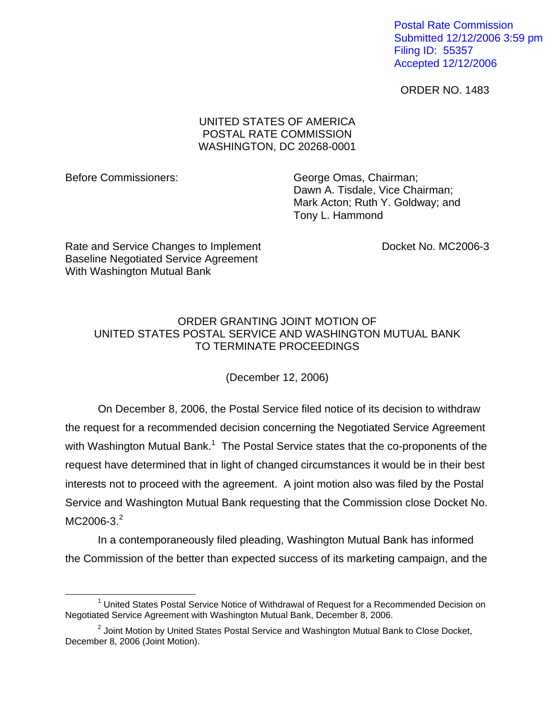Postal Rate Commission Submitted 12/12/2006 3:59 pm Filing ID: 55357 Accepted 12/12/2006

ORDER NO. 1483

## UNITED STATES OF AMERICA POSTAL RATE COMMISSION WASHINGTON, DC 20268-0001

 $\overline{a}$ 

Before Commissioners: George Omas, Chairman; Dawn A. Tisdale, Vice Chairman; Mark Acton; Ruth Y. Goldway; and Tony L. Hammond

Rate and Service Changes to Implement **Examplement** Docket No. MC2006-3 Baseline Negotiated Service Agreement With Washington Mutual Bank

## ORDER GRANTING JOINT MOTION OF UNITED STATES POSTAL SERVICE AND WASHINGTON MUTUAL BANK TO TERMINATE PROCEEDINGS

(December 12, 2006)

On December 8, 2006, the Postal Service filed notice of its decision to withdraw the request for a recommended decision concerning the Negotiated Service Agreement with Washington Mutual Bank.<sup>[1](#page-0-0)</sup> The Postal Service states that the co-proponents of the request have determined that in light of changed circumstances it would be in their best interests not to proceed with the agreement. A joint motion also was filed by the Postal Service and Washington Mutual Bank requesting that the Commission close Docket No.  $MC2006 - 3.<sup>2</sup>$  $MC2006 - 3.<sup>2</sup>$  $MC2006 - 3.<sup>2</sup>$ 

In a contemporaneously filed pleading, Washington Mutual Bank has informed the Commission of the better than expected success of its marketing campaign, and the

<span id="page-0-0"></span><sup>&</sup>lt;sup>1</sup> United States Postal Service Notice of Withdrawal of Request for a Recommended Decision on Negotiated Service Agreement with Washington Mutual Bank, December 8, 2006.

<span id="page-0-1"></span> $2$  Joint Motion by United States Postal Service and Washington Mutual Bank to Close Docket, December 8, 2006 (Joint Motion).